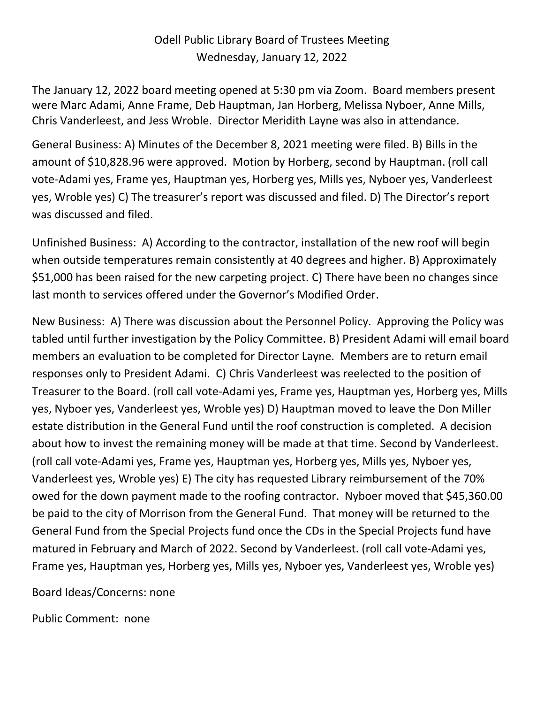## Odell Public Library Board of Trustees Meeting Wednesday, January 12, 2022

The January 12, 2022 board meeting opened at 5:30 pm via Zoom. Board members present were Marc Adami, Anne Frame, Deb Hauptman, Jan Horberg, Melissa Nyboer, Anne Mills, Chris Vanderleest, and Jess Wroble. Director Meridith Layne was also in attendance.

General Business: A) Minutes of the December 8, 2021 meeting were filed. B) Bills in the amount of \$10,828.96 were approved. Motion by Horberg, second by Hauptman. (roll call vote-Adami yes, Frame yes, Hauptman yes, Horberg yes, Mills yes, Nyboer yes, Vanderleest yes, Wroble yes) C) The treasurer's report was discussed and filed. D) The Director's report was discussed and filed.

Unfinished Business: A) According to the contractor, installation of the new roof will begin when outside temperatures remain consistently at 40 degrees and higher. B) Approximately \$51,000 has been raised for the new carpeting project. C) There have been no changes since last month to services offered under the Governor's Modified Order.

New Business: A) There was discussion about the Personnel Policy. Approving the Policy was tabled until further investigation by the Policy Committee. B) President Adami will email board members an evaluation to be completed for Director Layne. Members are to return email responses only to President Adami. C) Chris Vanderleest was reelected to the position of Treasurer to the Board. (roll call vote-Adami yes, Frame yes, Hauptman yes, Horberg yes, Mills yes, Nyboer yes, Vanderleest yes, Wroble yes) D) Hauptman moved to leave the Don Miller estate distribution in the General Fund until the roof construction is completed. A decision about how to invest the remaining money will be made at that time. Second by Vanderleest. (roll call vote-Adami yes, Frame yes, Hauptman yes, Horberg yes, Mills yes, Nyboer yes, Vanderleest yes, Wroble yes) E) The city has requested Library reimbursement of the 70% owed for the down payment made to the roofing contractor. Nyboer moved that \$45,360.00 be paid to the city of Morrison from the General Fund. That money will be returned to the General Fund from the Special Projects fund once the CDs in the Special Projects fund have matured in February and March of 2022. Second by Vanderleest. (roll call vote-Adami yes, Frame yes, Hauptman yes, Horberg yes, Mills yes, Nyboer yes, Vanderleest yes, Wroble yes)

Board Ideas/Concerns: none

Public Comment: none